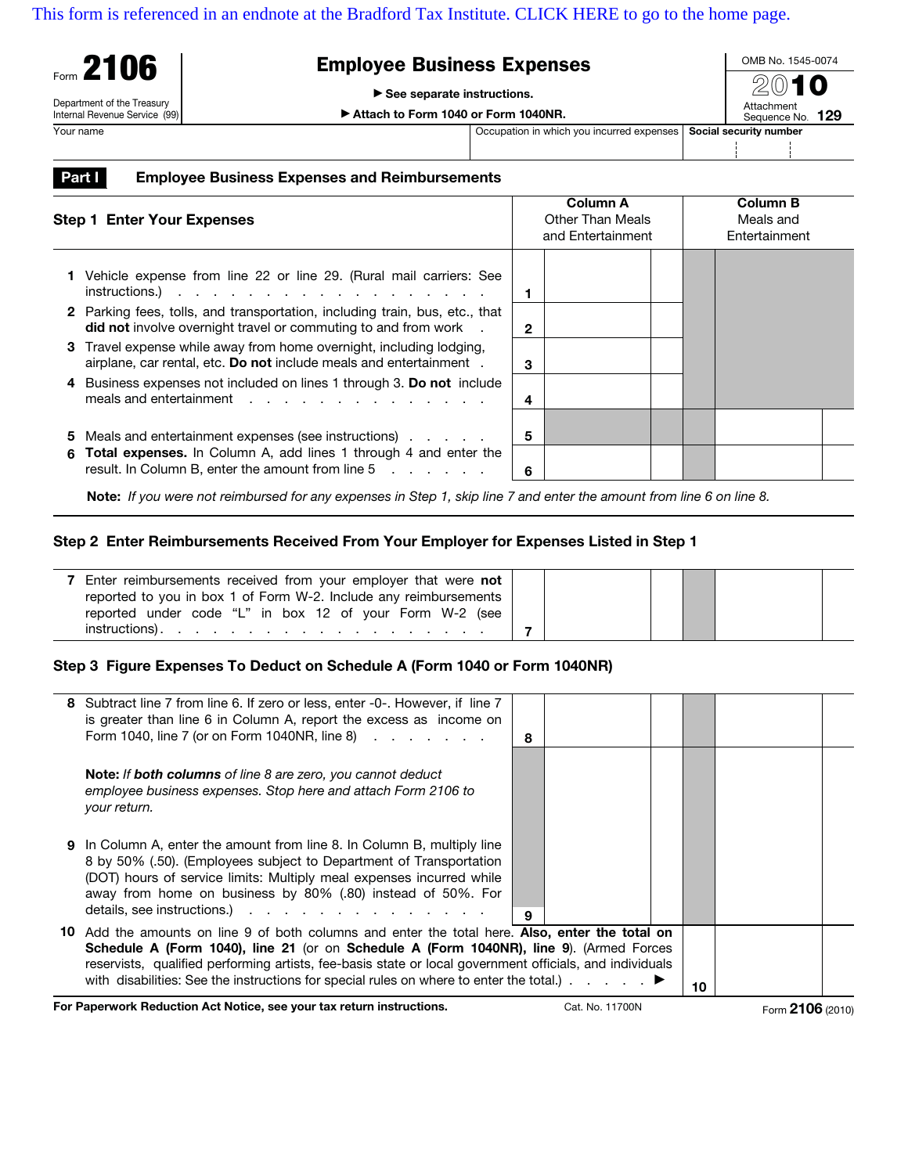## [This form is referenced in an endnote at the Bradford Tax Institute. CLICK HERE to go to the home page.](http://bradfordtaxinstitute.com/index1.aspx)

| Form 2106                                                   | <b>Employee Business Expenses</b>           |                                           |  |                        |  |  |
|-------------------------------------------------------------|---------------------------------------------|-------------------------------------------|--|------------------------|--|--|
|                                                             | $\triangleright$ See separate instructions. | 2010<br>Attachment                        |  |                        |  |  |
| Department of the Treasury<br>Internal Revenue Service (99) | Attach to Form 1040 or Form 1040NR.         |                                           |  |                        |  |  |
| Your name                                                   |                                             | Occupation in which you incurred expenses |  | Social security number |  |  |
|                                                             |                                             |                                           |  |                        |  |  |

**Part I** Employee Business Expenses and Reimbursements

| <b>Step 1 Enter Your Expenses</b> |                                                                                                                                                      |   | <b>Column A</b><br>Other Than Meals<br>and Entertainment | Column B<br>Meals and<br>Entertainment |  |  |
|-----------------------------------|------------------------------------------------------------------------------------------------------------------------------------------------------|---|----------------------------------------------------------|----------------------------------------|--|--|
|                                   | Vehicle expense from line 22 or line 29. (Rural mail carriers: See<br>$instructions.)$                                                               |   |                                                          |                                        |  |  |
|                                   | 2 Parking fees, tolls, and transportation, including train, bus, etc., that<br><b>did not</b> involve overnight travel or commuting to and from work | 2 |                                                          |                                        |  |  |
|                                   | 3 Travel expense while away from home overnight, including lodging,<br>airplane, car rental, etc. Do not include meals and entertainment.            | 3 |                                                          |                                        |  |  |
|                                   | Business expenses not included on lines 1 through 3. Do not include<br>meals and entertainment                                                       | 4 |                                                          |                                        |  |  |
| 5                                 | Meals and entertainment expenses (see instructions)                                                                                                  | 5 |                                                          |                                        |  |  |
| 6                                 | <b>Total expenses.</b> In Column A, add lines 1 through 4 and enter the<br>result. In Column B, enter the amount from line 5                         | 6 |                                                          |                                        |  |  |

 **Note:** If you were not reimbursed for any expenses in Step 1, skip line 7 and enter the amount from line 6 on line 8.

## **Step 2 Enter Reimbursements Received From Your Employer for Expenses Listed in Step 1**

| Enter reimbursements received from your employer that were not                                                                    |  |
|-----------------------------------------------------------------------------------------------------------------------------------|--|
| reported to you in box 1 of Form W-2. Include any reimbursements                                                                  |  |
| reported under code "L" in box 12 of your Form W-2 (see                                                                           |  |
| instructions).<br>the contract of the contract of the contract of the contract of the contract of the contract of the contract of |  |

## **Step 3 Figure Expenses To Deduct on Schedule A (Form 1040 or Form 1040NR)**

|     | 8 Subtract line 7 from line 6. If zero or less, enter -0-. However, if line 7<br>is greater than line 6 in Column A, report the excess as income on<br>Form 1040, line 7 (or on Form 1040NR, line 8)                                                                                                                       | 8 |  |  |    |  |
|-----|----------------------------------------------------------------------------------------------------------------------------------------------------------------------------------------------------------------------------------------------------------------------------------------------------------------------------|---|--|--|----|--|
|     | <b>Note: If both columns</b> of line 8 are zero, you cannot deduct<br>employee business expenses. Stop here and attach Form 2106 to<br>your return.                                                                                                                                                                        |   |  |  |    |  |
|     | <b>9</b> In Column A, enter the amount from line 8. In Column B, multiply line<br>8 by 50% (.50). (Employees subject to Department of Transportation<br>(DOT) hours of service limits: Multiply meal expenses incurred while<br>away from home on business by 80% (.80) instead of 50%. For<br>details, see instructions.) | 9 |  |  |    |  |
| 10. | Add the amounts on line 9 of both columns and enter the total here. Also, enter the total on<br>Schedule A (Form 1040), line 21 (or on Schedule A (Form 1040NR), line 9). (Armed Forces<br>reservists, qualified performing artists, fee-basis state or local government officials, and individuals                        |   |  |  | 10 |  |

**For Paperwork Reduction Act Notice, see your tax return instructions.** Cat. No. 11700N Form 2106 (2010)